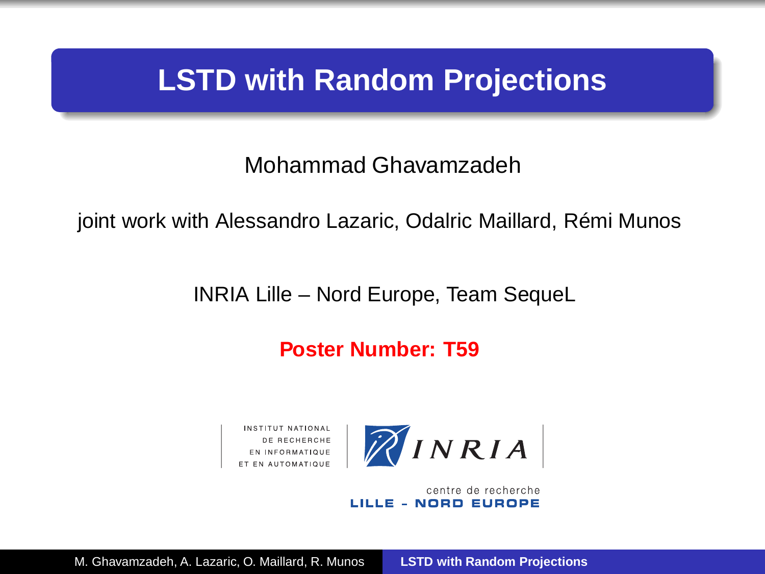## **LSTD with Random Projections**

Mohammad Ghavamzadeh

joint work with Alessandro Lazaric, Odalric Maillard, Rémi Munos

INRIA Lille – Nord Europe, Team SequeL

**Poster Number: T59**



centre de recherche LILLE - NORD EUROPE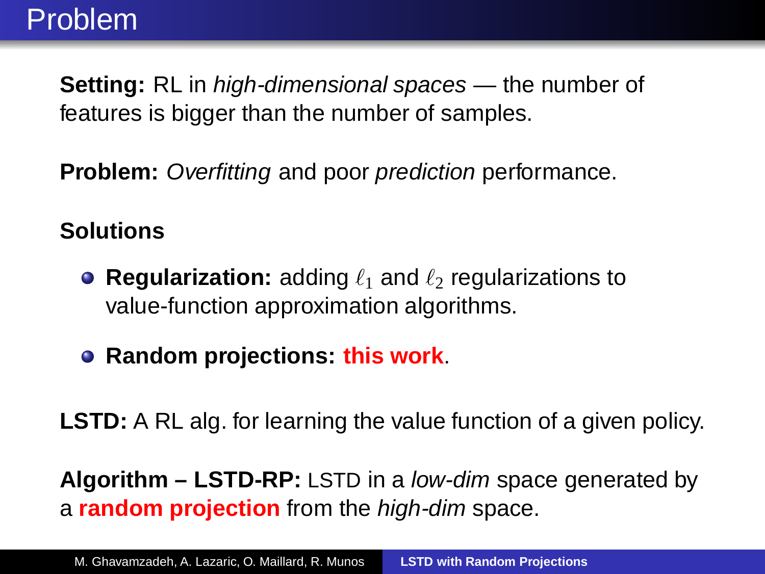## Problem

**Setting:** RL in *high-dimensional spaces* — the number of features is bigger than the number of samples.

**Problem:** Overfitting and poor *prediction* performance.

## **Solutions**

- **Regularization:** adding  $\ell_1$  and  $\ell_2$  regularizations to value-function approximation algorithms.
- **Random projections: this work**.

**LSTD:** A RL alg. for learning the value function of a given policy.

**Algorithm – LSTD-RP:** LSTD in a low-dim space generated by a **random projection** from the high-dim space.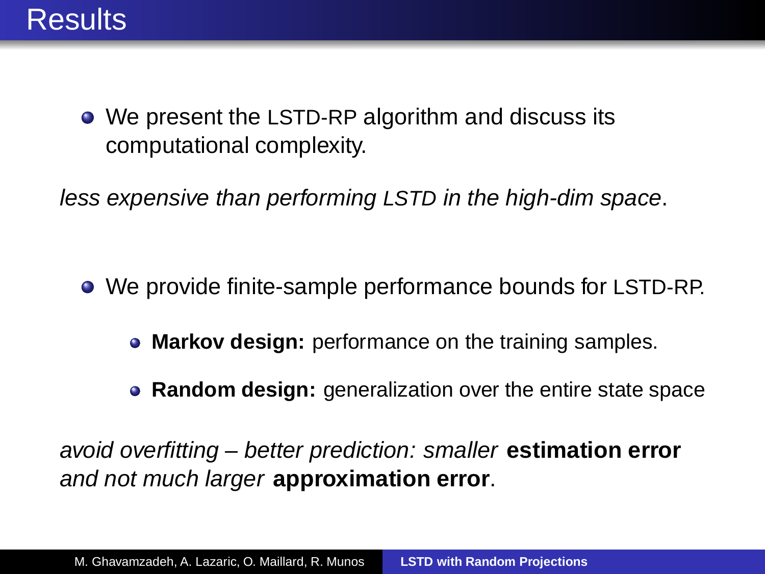

We present the LSTD-RP algorithm and discuss its computational complexity.

less expensive than performing LSTD in the high-dim space.

- We provide finite-sample performance bounds for LSTD-RP.
	- **Markov design:** performance on the training samples.
	- **Random design:** generalization over the entire state space

avoid overfitting – better prediction: smaller **estimation error** and not much larger **approximation error**.